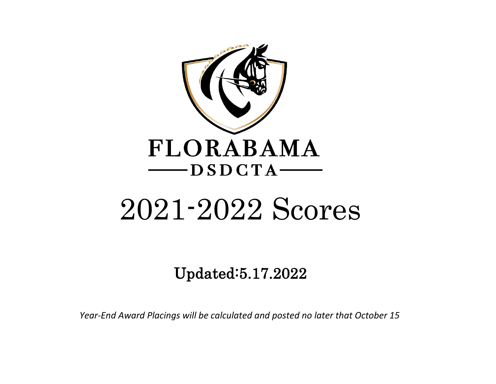

# 2021-2022 Scores

Updated:5.17.2022

*Year-End Award Placings will be calculated and posted no later that October 15*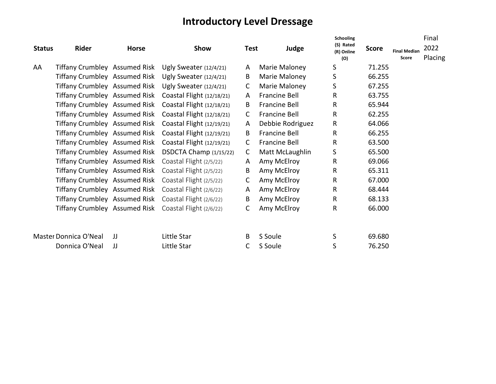## **Introductory Level Dressage**

|               |                               |              |                                                         |              |                      | Schooling               |              |                     | Final   |
|---------------|-------------------------------|--------------|---------------------------------------------------------|--------------|----------------------|-------------------------|--------------|---------------------|---------|
| <b>Status</b> | Rider                         | <b>Horse</b> | Show                                                    | <b>Test</b>  | Judge                | (S) Rated<br>(R) Online | <b>Score</b> | <b>Final Median</b> | 2022    |
|               |                               |              |                                                         |              |                      | (O)                     |              | Score               | Placing |
| AA            | Tiffany Crumbley Assumed Risk |              | Ugly Sweater $(12/4/21)$                                | A            | Marie Maloney        | S                       | 71.255       |                     |         |
|               | Tiffany Crumbley Assumed Risk |              | Ugly Sweater (12/4/21)                                  | B            | Marie Maloney        | S                       | 66.255       |                     |         |
|               | Tiffany Crumbley Assumed Risk |              | Ugly Sweater (12/4/21)                                  | C            | Marie Maloney        | S                       | 67.255       |                     |         |
|               | Tiffany Crumbley Assumed Risk |              | Coastal Flight (12/18/21)                               | A            | <b>Francine Bell</b> | $\mathsf{R}$            | 63.755       |                     |         |
|               | Tiffany Crumbley Assumed Risk |              | Coastal Flight (12/18/21)                               | B            | <b>Francine Bell</b> | $\mathsf{R}$            | 65.944       |                     |         |
|               | Tiffany Crumbley Assumed Risk |              | Coastal Flight (12/18/21)                               | C.           | <b>Francine Bell</b> | $\mathsf{R}$            | 62.255       |                     |         |
|               | Tiffany Crumbley Assumed Risk |              | Coastal Flight (12/19/21)                               | A            | Debbie Rodriguez     | $\mathsf{R}$            | 64.066       |                     |         |
|               | Tiffany Crumbley Assumed Risk |              | Coastal Flight (12/19/21)                               | B            | <b>Francine Bell</b> | R                       | 66.255       |                     |         |
|               |                               |              | Tiffany Crumbley Assumed Risk Coastal Flight (12/19/21) | C            | Francine Bell        | $\mathsf{R}$            | 63.500       |                     |         |
|               |                               |              | Tiffany Crumbley Assumed Risk DSDCTA Champ (1/15/22)    | $\mathsf{C}$ | Matt McLaughlin      | S                       | 65.500       |                     |         |
|               |                               |              | Tiffany Crumbley Assumed Risk Coastal Flight (2/5/22)   | A            | Amy McElroy          | $\mathsf{R}$            | 69.066       |                     |         |
|               |                               |              | Tiffany Crumbley Assumed Risk Coastal Flight (2/5/22)   | B            | Amy McElroy          | $\mathsf{R}$            | 65.311       |                     |         |
|               |                               |              | Tiffany Crumbley Assumed Risk Coastal Flight (2/5/22)   | C            | Amy McElroy          | $\mathsf{R}$            | 67.000       |                     |         |
|               |                               |              | Tiffany Crumbley Assumed Risk Coastal Flight (2/6/22)   | A            | Amy McElroy          | $\mathsf{R}$            | 68.444       |                     |         |
|               |                               |              | Tiffany Crumbley Assumed Risk Coastal Flight (2/6/22)   | B            | Amy McElroy          | $\mathsf{R}$            | 68.133       |                     |         |
|               |                               |              | Tiffany Crumbley Assumed Risk Coastal Flight (2/6/22)   | C            | Amy McElroy          | $\mathsf{R}$            | 66.000       |                     |         |
|               |                               |              |                                                         |              |                      |                         |              |                     |         |
|               |                               |              |                                                         |              |                      |                         |              |                     |         |
|               | Master Donnica O'Neal         | IJ           | Little Star                                             | B            | S Soule              | S                       | 69.680       |                     |         |
|               | Donnica O'Neal                | JJ           | Little Star                                             |              | S Soule              | S                       | 76.250       |                     |         |
|               |                               |              |                                                         |              |                      |                         |              |                     |         |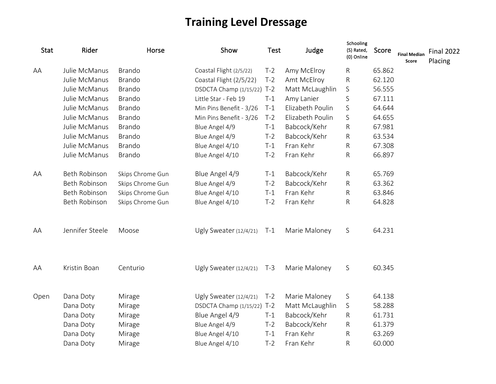# **Training Level Dressage**

| <b>Stat</b> | Rider           | Horse            | Show                     | <b>Test</b> | Judge            | Schooling<br>(S) Rated,<br>(0) Online | Score  | <b>Final Median</b><br>Score | <b>Final 2022</b><br>Placing |
|-------------|-----------------|------------------|--------------------------|-------------|------------------|---------------------------------------|--------|------------------------------|------------------------------|
| AA          | Julie McManus   | <b>Brando</b>    | Coastal Flight (2/5/22)  | $T-2$       | Amy McElroy      | R                                     | 65.862 |                              |                              |
|             | Julie McManus   | <b>Brando</b>    | Coastal Flight (2/5/22)  | $T-2$       | Amt McElroy      | ${\sf R}$                             | 62.120 |                              |                              |
|             | Julie McManus   | <b>Brando</b>    | DSDCTA Champ (1/15/22)   | $T-2$       | Matt McLaughlin  | $\mathsf S$                           | 56.555 |                              |                              |
|             | Julie McManus   | <b>Brando</b>    | Little Star - Feb 19     | $T-1$       | Amy Lanier       | S                                     | 67.111 |                              |                              |
|             | Julie McManus   | <b>Brando</b>    | Min Pins Benefit - 3/26  | $T-1$       | Elizabeth Poulin | $\mathsf S$                           | 64.644 |                              |                              |
|             | Julie McManus   | <b>Brando</b>    | Min Pins Benefit - 3/26  | $T-2$       | Elizabeth Poulin | S                                     | 64.655 |                              |                              |
|             | Julie McManus   | <b>Brando</b>    | Blue Angel 4/9           | $T-1$       | Babcock/Kehr     | R                                     | 67.981 |                              |                              |
|             | Julie McManus   | <b>Brando</b>    | Blue Angel 4/9           | $T-2$       | Babcock/Kehr     | R                                     | 63.534 |                              |                              |
|             | Julie McManus   | <b>Brando</b>    | Blue Angel 4/10          | $T-1$       | Fran Kehr        | R                                     | 67.308 |                              |                              |
|             | Julie McManus   | <b>Brando</b>    | Blue Angel 4/10          | $T-2$       | Fran Kehr        | ${\sf R}$                             | 66.897 |                              |                              |
| AA          | Beth Robinson   | Skips Chrome Gun | Blue Angel 4/9           | $T-1$       | Babcock/Kehr     | R                                     | 65.769 |                              |                              |
|             | Beth Robinson   | Skips Chrome Gun | Blue Angel 4/9           | $T-2$       | Babcock/Kehr     | ${\sf R}$                             | 63.362 |                              |                              |
|             | Beth Robinson   | Skips Chrome Gun | Blue Angel 4/10          | $T-1$       | Fran Kehr        | R                                     | 63.846 |                              |                              |
|             | Beth Robinson   | Skips Chrome Gun | Blue Angel 4/10          | $T-2$       | Fran Kehr        | $\mathsf R$                           | 64.828 |                              |                              |
| AA          | Jennifer Steele | Moose            | Ugly Sweater (12/4/21)   | $T-1$       | Marie Maloney    | $\mathsf S$                           | 64.231 |                              |                              |
| AA          | Kristin Boan    | Centurio         | Ugly Sweater $(12/4/21)$ | $T-3$       | Marie Maloney    | $\mathsf S$                           | 60.345 |                              |                              |
| Open        | Dana Doty       | Mirage           | Ugly Sweater (12/4/21)   | $T-2$       | Marie Maloney    | $\mathsf S$                           | 64.138 |                              |                              |
|             | Dana Doty       | Mirage           | DSDCTA Champ (1/15/22)   | $T-2$       | Matt McLaughlin  | S                                     | 58.288 |                              |                              |
|             | Dana Doty       | Mirage           | Blue Angel 4/9           | $T-1$       | Babcock/Kehr     | R                                     | 61.731 |                              |                              |
|             | Dana Doty       | Mirage           | Blue Angel 4/9           | $T-2$       | Babcock/Kehr     | R                                     | 61.379 |                              |                              |
|             | Dana Doty       | Mirage           | Blue Angel 4/10          | $T-1$       | Fran Kehr        | R                                     | 63.269 |                              |                              |
|             | Dana Doty       | Mirage           | Blue Angel 4/10          | $T-2$       | Fran Kehr        | $\mathsf R$                           | 60.000 |                              |                              |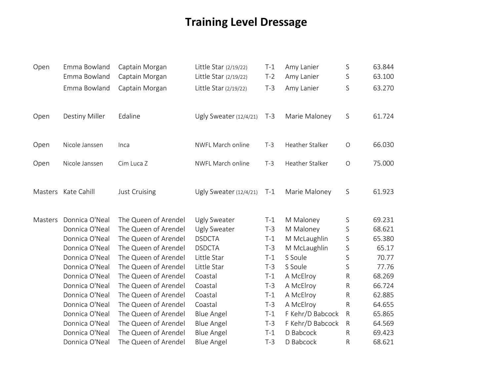# **Training Level Dressage**

| Open    | Emma Bowland<br>Emma Bowland | Captain Morgan<br>Captain Morgan | Little Star (2/19/22)<br>Little Star (2/19/22) | $T-1$<br>$T-2$ | Amy Lanier<br>Amy Lanier | S<br>S       | 63.844<br>63.100 |
|---------|------------------------------|----------------------------------|------------------------------------------------|----------------|--------------------------|--------------|------------------|
|         |                              |                                  |                                                |                |                          |              |                  |
|         | Emma Bowland                 | Captain Morgan                   | Little Star (2/19/22)                          | $T-3$          | Amy Lanier               | S            | 63.270           |
| Open    | Destiny Miller               | Edaline                          | Ugly Sweater (12/4/21)                         | $T-3$          | Marie Maloney            | S            | 61.724           |
| Open    | Nicole Janssen               | Inca                             | NWFL March online                              | $T-3$          | Heather Stalker          | $\bigcirc$   | 66.030           |
| Open    | Nicole Janssen               | Cim Luca Z                       | NWFL March online                              | $T-3$          | Heather Stalker          | $\bigcirc$   | 75.000           |
|         | Masters Kate Cahill          | Just Cruising                    | Ugly Sweater (12/4/21)                         | $T-1$          | Marie Maloney            | S            | 61.923           |
| Masters | Donnica O'Neal               | The Queen of Arendel             | Ugly Sweater                                   | $T-1$          | M Maloney                | S            | 69.231           |
|         | Donnica O'Neal               | The Queen of Arendel             | Ugly Sweater                                   | $T-3$          | M Maloney                | S            | 68.621           |
|         | Donnica O'Neal               | The Queen of Arendel             | <b>DSDCTA</b>                                  | $T-1$          | M McLaughlin             | S            | 65.380           |
|         | Donnica O'Neal               | The Queen of Arendel             | <b>DSDCTA</b>                                  | $T-3$          | M McLaughlin             | S            | 65.17            |
|         | Donnica O'Neal               | The Queen of Arendel             | Little Star                                    | $T-1$          | S Soule                  | S            | 70.77            |
|         | Donnica O'Neal               | The Queen of Arendel             | Little Star                                    | $T-3$          | S Soule                  | S            | 77.76            |
|         | Donnica O'Neal               | The Queen of Arendel             | Coastal                                        | $T-1$          | A McElroy                | ${\sf R}$    | 68.269           |
|         | Donnica O'Neal               | The Queen of Arendel             | Coastal                                        | $T-3$          | A McElroy                | ${\sf R}$    | 66.724           |
|         | Donnica O'Neal               | The Queen of Arendel             | Coastal                                        | $T-1$          | A McElroy                | ${\sf R}$    | 62.885           |
|         | Donnica O'Neal               | The Queen of Arendel             | Coastal                                        | $T-3$          | A McElroy                | ${\sf R}$    | 64.655           |
|         | Donnica O'Neal               | The Queen of Arendel             | <b>Blue Angel</b>                              | $T-1$          | F Kehr/D Babcock         | $\mathsf{R}$ | 65.865           |
|         | Donnica O'Neal               | The Queen of Arendel             | <b>Blue Angel</b>                              | $T-3$          | F Kehr/D Babcock         | $\mathsf{R}$ | 64.569           |
|         | Donnica O'Neal               | The Queen of Arendel             | <b>Blue Angel</b>                              | $T-1$          | D Babcock                | R            | 69.423           |
|         | Donnica O'Neal               | The Queen of Arendel             | <b>Blue Angel</b>                              | $T-3$          | D Babcock                | R            | 68.621           |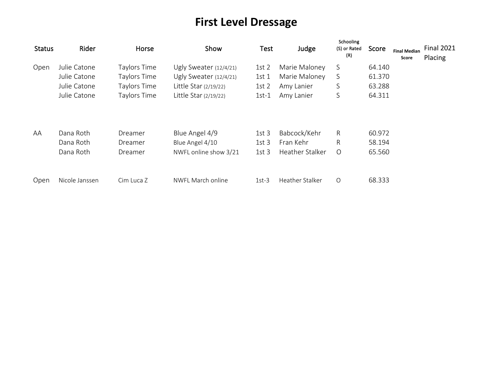# **First Level Dressage**

| <b>Status</b> | Rider          | Horse        | Show                     | Test             | Judge           | Schooling<br>(S) or Rated<br>(R) | Score  | <b>Final Median</b><br>Score | <b>Final 2021</b><br>Placing |
|---------------|----------------|--------------|--------------------------|------------------|-----------------|----------------------------------|--------|------------------------------|------------------------------|
| Open          | Julie Catone   | Taylors Time | Ugly Sweater $(12/4/21)$ | 1st <sub>2</sub> | Marie Maloney   | S                                | 64.140 |                              |                              |
|               | Julie Catone   | Taylors Time | Ugly Sweater (12/4/21)   | 1st <sub>1</sub> | Marie Maloney   | S                                | 61.370 |                              |                              |
|               | Julie Catone   | Taylors Time | Little Star (2/19/22)    | 1st <sub>2</sub> | Amy Lanier      | S                                | 63.288 |                              |                              |
|               | Julie Catone   | Taylors Time | Little Star $(2/19/22)$  | $1st-1$          | Amy Lanier      | S                                | 64.311 |                              |                              |
| AA            | Dana Roth      | Dreamer      | Blue Angel 4/9           | 1st <sub>3</sub> | Babcock/Kehr    | R                                | 60.972 |                              |                              |
|               | Dana Roth      | Dreamer      | Blue Angel 4/10          | 1st <sub>3</sub> | Fran Kehr       | R                                | 58.194 |                              |                              |
|               | Dana Roth      | Dreamer      | NWFL online show 3/21    | 1st <sub>3</sub> | Heather Stalker | $\circ$                          | 65.560 |                              |                              |
| Open          | Nicole Janssen | Cim Luca Z   | NWFL March online        | $1st-3$          | Heather Stalker | $\circ$                          | 68.333 |                              |                              |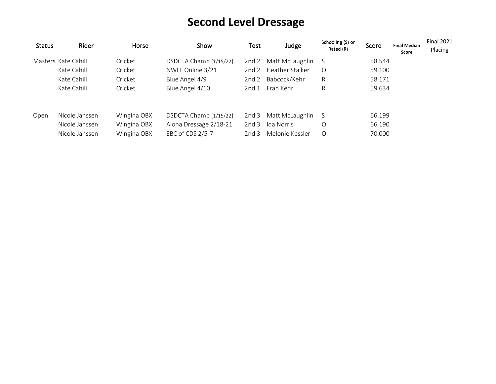# **Second Level Dressage**

| <b>Status</b> | Rider               | Horse       | Show                   | Test             | Judge           | Schooling (S) or<br>Rated (R) | Score  | <b>Final Median</b><br>Score | <b>Final 2021</b><br>Placing |
|---------------|---------------------|-------------|------------------------|------------------|-----------------|-------------------------------|--------|------------------------------|------------------------------|
|               | Masters Kate Cahill | Cricket     | DSDCTA Champ (1/15/22) | 2nd <sub>2</sub> | Matt McLaughlin | S                             | 58.544 |                              |                              |
|               | Kate Cahill         | Cricket     | NWFL Online 3/21       | 2 $nd2$          | Heather Stalker | $\circ$                       | 59.100 |                              |                              |
|               | Kate Cahill         | Cricket     | Blue Angel 4/9         | 2nd <sub>2</sub> | Babcock/Kehr    | R                             | 58.171 |                              |                              |
|               | Kate Cahill         | Cricket     | Blue Angel 4/10        | 2nd <sub>1</sub> | Fran Kehr       | R                             | 59.634 |                              |                              |
| Open          | Nicole Janssen      | Wingina OBX | DSDCTA Champ (1/15/22) | 2nd <sub>3</sub> | Matt McLaughlin | <sub>S</sub>                  | 66.199 |                              |                              |
|               | Nicole Janssen      | Wingina OBX | Aloha Dressage 2/18-21 | 2nd <sub>3</sub> | Ida Norris      | O                             | 66.190 |                              |                              |
|               | Nicole Janssen      | Wingina OBX | EBC of CDS 2/5-7       | 2nd3             | Melonie Kessler | $\circ$                       | 70.000 |                              |                              |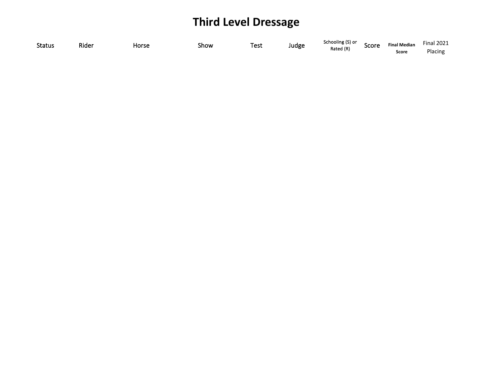# **Third Level Dressage**

| <b>Status</b> | Rider | Horse | Show | Test | Judge | Schooling (S) or | Score | <b>Final Median</b> | <b>Final 2021</b> |
|---------------|-------|-------|------|------|-------|------------------|-------|---------------------|-------------------|
|               |       |       |      |      |       | Rated (R)        |       | Score               | Placing           |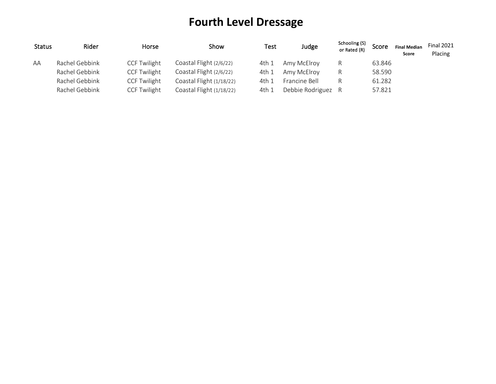# **Fourth Level Dressage**

| <b>Status</b> | Rider          | Horse               | Show                     | Test  | Judge              | Schooling (S)<br>or Rated (R) | Score  | <b>Final Median</b><br>Score | <b>Final 2021</b><br>Placing |
|---------------|----------------|---------------------|--------------------------|-------|--------------------|-------------------------------|--------|------------------------------|------------------------------|
| AA            | Rachel Gebbink | <b>CCF Twilight</b> | Coastal Flight (2/6/22)  | 4th 1 | Amy McElroy        | R                             | 63.846 |                              |                              |
|               | Rachel Gebbink | <b>CCF Twilight</b> | Coastal Flight (2/6/22)  | 4th 1 | Amy McElroy        | R                             | 58.590 |                              |                              |
|               | Rachel Gebbink | <b>CCF Twilight</b> | Coastal Flight (1/18/22) | 4th 1 | Francine Bell      | R                             | 61.282 |                              |                              |
|               | Rachel Gebbink | <b>CCF Twilight</b> | Coastal Flight (1/18/22) | 4th 1 | Debbie Rodriguez R |                               | 57.821 |                              |                              |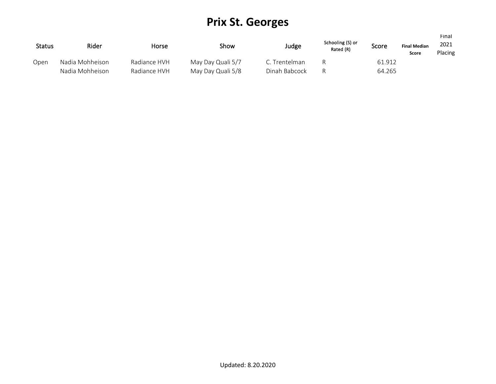## **Prix St. Georges**

| <b>Status</b> | Rider           | Horse        | Show              | Judge         | Schooling (S) or<br>Rated (R) | Score  | <b>Final Median</b><br>Score | Final<br>2021<br>Placing |
|---------------|-----------------|--------------|-------------------|---------------|-------------------------------|--------|------------------------------|--------------------------|
| Open          | Nadia Mohheison | Radiance HVH | May Day Quali 5/7 | C. Trentelman |                               | 61.912 |                              |                          |
|               | Nadia Mohheison | Radiance HVH | May Day Quali 5/8 | Dinah Babcock |                               | 64.265 |                              |                          |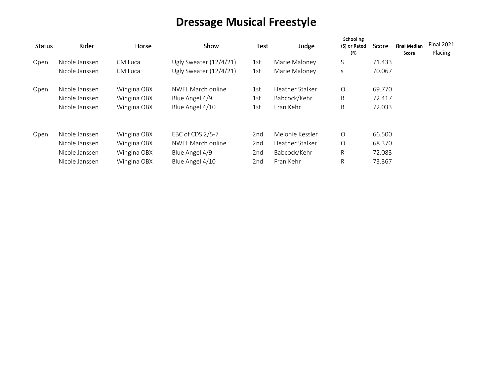# **Dressage Musical Freestyle**

| <b>Status</b> | Rider          | Horse       | Show                     | <b>Test</b> | Judge           | Schooling<br>(S) or Rated<br>(R) | Score  | <b>Final Median</b><br>Score | <b>Final 2021</b><br>Placing |
|---------------|----------------|-------------|--------------------------|-------------|-----------------|----------------------------------|--------|------------------------------|------------------------------|
| Open          | Nicole Janssen | CM Luca     | Ugly Sweater (12/4/21)   | 1st         | Marie Maloney   | S                                | 71.433 |                              |                              |
|               | Nicole Janssen | CM Luca     | Ugly Sweater $(12/4/21)$ | 1st         | Marie Maloney   | S                                | 70.067 |                              |                              |
| Open          | Nicole Janssen | Wingina OBX | NWFL March online        | 1st         | Heather Stalker | $\circ$                          | 69.770 |                              |                              |
|               | Nicole Janssen | Wingina OBX | Blue Angel 4/9           | 1st         | Babcock/Kehr    | R.                               | 72.417 |                              |                              |
|               | Nicole Janssen | Wingina OBX | Blue Angel 4/10          | 1st         | Fran Kehr       | R.                               | 72.033 |                              |                              |
| Open          | Nicole Janssen | Wingina OBX | EBC of CDS 2/5-7         | 2nd         | Melonie Kessler | $\circ$                          | 66.500 |                              |                              |
|               | Nicole Janssen | Wingina OBX | NWFL March online        | 2nd         | Heather Stalker | $\circ$                          | 68.370 |                              |                              |
|               | Nicole Janssen | Wingina OBX | Blue Angel 4/9           | 2nd         | Babcock/Kehr    | R.                               | 72.083 |                              |                              |
|               | Nicole Janssen | Wingina OBX | Blue Angel 4/10          | 2nd         | Fran Kehr       | R.                               | 73.367 |                              |                              |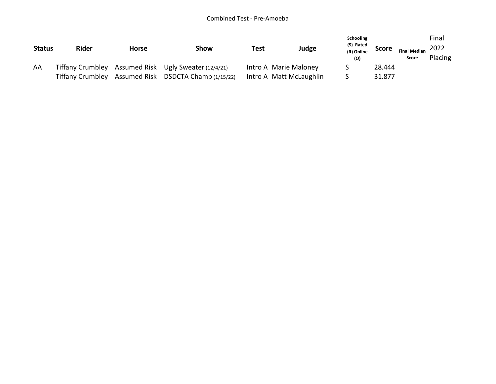#### Combined Test - Pre-Amoeba

| <b>Status</b> | <b>Rider</b>            | <b>Horse</b> | Show                                                 | Test | Judge                   | <b>Schooling</b><br>(S) Rated<br>(R) Online<br>(O) | <b>Score</b> | <b>Final Median</b><br>Score | Final<br>2022<br>Placing |
|---------------|-------------------------|--------------|------------------------------------------------------|------|-------------------------|----------------------------------------------------|--------------|------------------------------|--------------------------|
| AA            |                         |              | Tiffany Crumbley Assumed Risk Ugly Sweater (12/4/21) |      | Intro A Marie Maloney   |                                                    | 28.444       |                              |                          |
|               | <b>Tiffany Crumbley</b> |              | Assumed Risk DSDCTA Champ (1/15/22)                  |      | Intro A Matt McLaughlin |                                                    | 31.877       |                              |                          |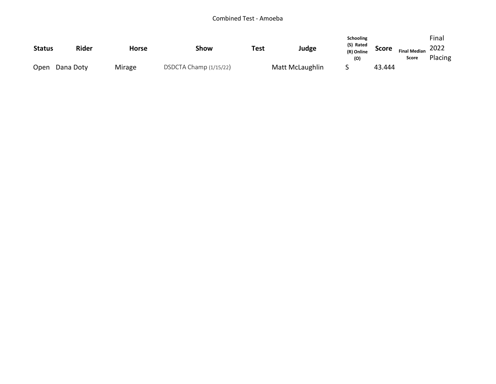| <b>Status</b> | <b>Rider</b> | <b>Horse</b> | Show                   | <b>Test</b> | Judge           | <b>Schooling</b><br>(S) Rated<br>(R) Online<br>(O) | <b>Score</b> | <b>Final Median</b><br>Score | Final<br>2022<br>Placing |
|---------------|--------------|--------------|------------------------|-------------|-----------------|----------------------------------------------------|--------------|------------------------------|--------------------------|
| Open          | Dana Doty    | Mirage       | DSDCTA Champ (1/15/22) |             | Matt McLaughlin |                                                    | 43.444       |                              |                          |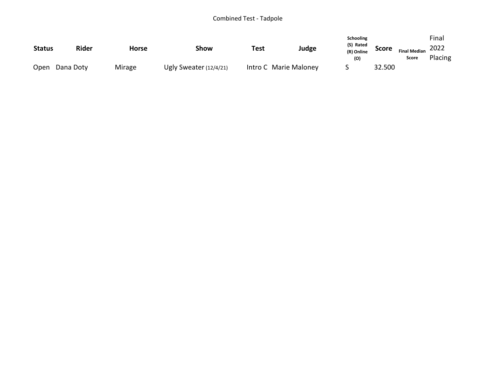#### Combined Test - Tadpole

|               |              |              |                          |      |                       | <b>Schooling</b><br>(S) Rated |              |                     |         | Final |  |
|---------------|--------------|--------------|--------------------------|------|-----------------------|-------------------------------|--------------|---------------------|---------|-------|--|
| <b>Status</b> | <b>Rider</b> | <b>Horse</b> | Show                     | Test | Judge                 | (R) Online                    | <b>Score</b> | <b>Final Median</b> | 2022    |       |  |
|               |              |              |                          |      |                       | (O)                           |              | Score               | Placing |       |  |
| Open          | Dana Doty    | Mirage       | Ugly Sweater $(12/4/21)$ |      | Intro C Marie Maloney |                               | 32.500       |                     |         |       |  |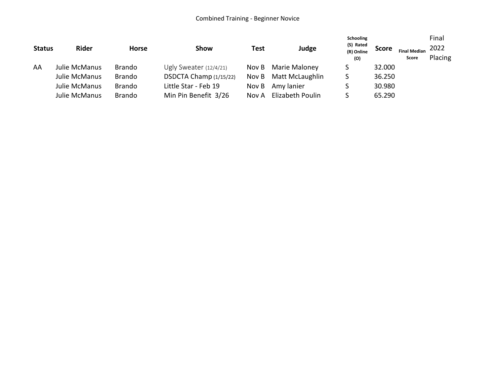#### Combined Training - Beginner Novice

| <b>Status</b> | <b>Rider</b>  | <b>Horse</b>  | Show                     | Test  | Judge            | Schooling<br>(S) Rated<br>(R) Online<br>(O) | <b>Score</b> | <b>Final Median</b><br>Score | Final<br>2022<br>Placing |
|---------------|---------------|---------------|--------------------------|-------|------------------|---------------------------------------------|--------------|------------------------------|--------------------------|
| AA            | Julie McManus | <b>Brando</b> | Ugly Sweater $(12/4/21)$ | Nov B | Marie Maloney    |                                             | 32.000       |                              |                          |
|               | Julie McManus | <b>Brando</b> | DSDCTA Champ (1/15/22)   | Nov B | Matt McLaughlin  |                                             | 36.250       |                              |                          |
|               | Julie McManus | <b>Brando</b> | Little Star - Feb 19     | Nov B | Amy lanier       |                                             | 30.980       |                              |                          |
|               | Julie McManus | <b>Brando</b> | Min Pin Benefit 3/26     | Nov A | Elizabeth Poulin |                                             | 65.290       |                              |                          |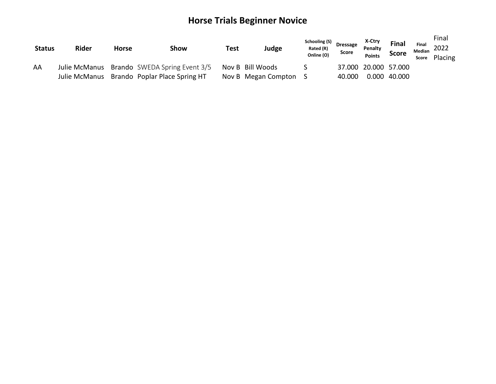## **Horse Trials Beginner Novice**

| <b>Status</b> | <b>Rider</b>  | <b>Horse</b> | Show                                 | Test | Judge               | Schooling (S)<br>Rated (R)<br>Online (O) | <b>Dressage</b><br><b>Score</b> | X-Ctry<br>Penalty<br><b>Points</b> | Final<br><b>Score</b> | Final<br>Median<br>Score | Final<br>2022<br>Placing |
|---------------|---------------|--------------|--------------------------------------|------|---------------------|------------------------------------------|---------------------------------|------------------------------------|-----------------------|--------------------------|--------------------------|
| AA            | Julie McManus |              | <b>Brando</b> SWEDA Spring Event 3/5 |      | Nov B Bill Woods    |                                          |                                 | 37.000 20.000 57.000               |                       |                          |                          |
|               | Julie McManus |              | Brando Poplar Place Spring HT        |      | Nov B Megan Compton |                                          | 40.000                          | 0.000                              | 40.000                |                          |                          |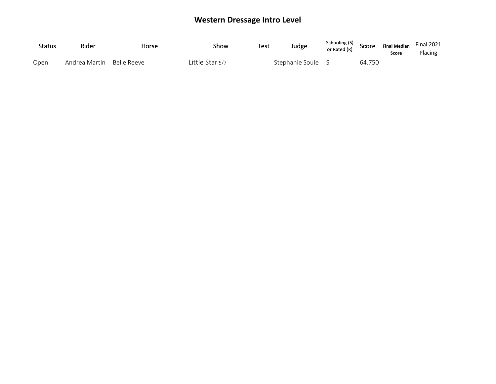### **Western Dressage Intro Level**

| <b>Status</b> | Rider                     | Horse | Show            | Test | Judge             | Schooling (S) SCOPE Finances<br>or Rated (R) |        | <b>Final Median</b><br>Score | <b>Final 2021</b><br>Placing |
|---------------|---------------------------|-------|-----------------|------|-------------------|----------------------------------------------|--------|------------------------------|------------------------------|
| Open          | Andrea Martin Belle Reeve |       | Little Star 5/7 |      | Stephanie Soule S |                                              | 64.750 |                              |                              |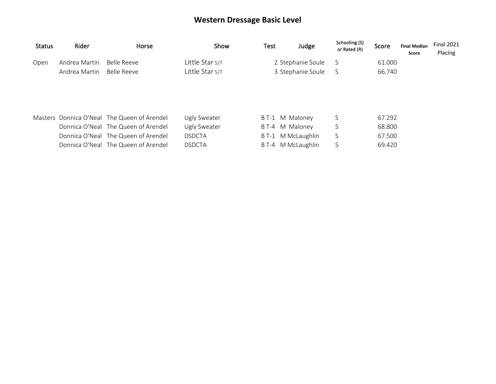### **Western Dressage Basic Level**

| <b>Status</b> | Rider         | Horse                                                                                                                     | Show                                          | Test  | Judge                                             | Schooling (S)<br>or Rated (R) | Score                      | <b>Final Median</b><br>Score | <b>Final 2021</b><br>Placing |
|---------------|---------------|---------------------------------------------------------------------------------------------------------------------------|-----------------------------------------------|-------|---------------------------------------------------|-------------------------------|----------------------------|------------------------------|------------------------------|
| Open          | Andrea Martin | Belle Reeve                                                                                                               | Little Star 5/7                               |       | 2 Stephanie Soule                                 | S                             | 61.000                     |                              |                              |
|               | Andrea Martin | Belle Reeve                                                                                                               | Little Star 5/7                               |       | 3 Stephanie Soule                                 | S                             | 66.740                     |                              |                              |
|               |               | Masters Donnica O'Neal The Queen of Arendel<br>Donnica O'Neal The Queen of Arendel<br>Donnica O'Neal The Queen of Arendel | Ugly Sweater<br>Ugly Sweater<br><b>DSDCTA</b> | B T-1 | M Maloney<br>BT-4 M Maloney<br>B T-1 M McLaughlin | S<br>S<br>S                   | 67.292<br>68.800<br>67.500 |                              |                              |
|               |               |                                                                                                                           |                                               |       |                                                   |                               |                            |                              |                              |
|               |               | Donnica O'Neal The Queen of Arendel                                                                                       | <b>DSDCTA</b>                                 |       | B T-4 M McLaughlin                                | S                             | 69.420                     |                              |                              |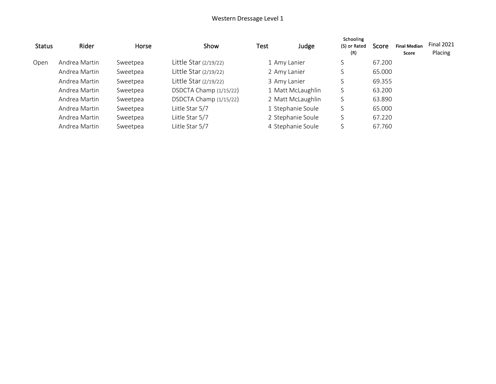#### Western Dressage Level 1

| <b>Status</b> | Rider         | Horse    | Show                    | Test | Judge             | Schooling<br>(S) or Rated<br>(R) | Score  | <b>Final Median</b><br>Score | <b>Final 2021</b><br>Placing |
|---------------|---------------|----------|-------------------------|------|-------------------|----------------------------------|--------|------------------------------|------------------------------|
| Open          | Andrea Martin | Sweetpea | Little Star $(2/19/22)$ |      | 1 Amy Lanier      |                                  | 67.200 |                              |                              |
|               | Andrea Martin | Sweetpea | Little Star (2/19/22)   |      | 2 Amy Lanier      |                                  | 65.000 |                              |                              |
|               | Andrea Martin | Sweetpea | Little Star (2/19/22)   |      | 3 Amy Lanier      |                                  | 69.355 |                              |                              |
|               | Andrea Martin | Sweetpea | DSDCTA Champ (1/15/22)  |      | 1 Matt McLaughlin |                                  | 63.200 |                              |                              |
|               | Andrea Martin | Sweetpea | DSDCTA Champ (1/15/22)  |      | 2 Matt McLaughlin | S                                | 63.890 |                              |                              |
|               | Andrea Martin | Sweetpea | Liitle Star 5/7         |      | 1 Stephanie Soule |                                  | 65.000 |                              |                              |
|               | Andrea Martin | Sweetpea | Liitle Star 5/7         |      | 2 Stephanie Soule |                                  | 67.220 |                              |                              |
|               | Andrea Martin | Sweetpea | Liitle Star 5/7         |      | 4 Stephanie Soule |                                  | 67.760 |                              |                              |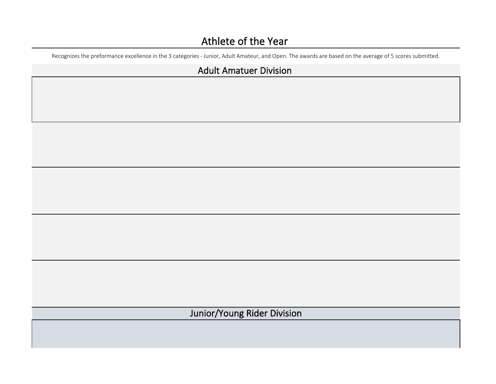## Athlete of the Year

Recognizes the preformance excellence in the 3 categories - Junior, Adult Amateur, and Open. The awards are based on the average of 5 scores submitted.

#### Adult Amatuer Division

Junior/Young Rider Division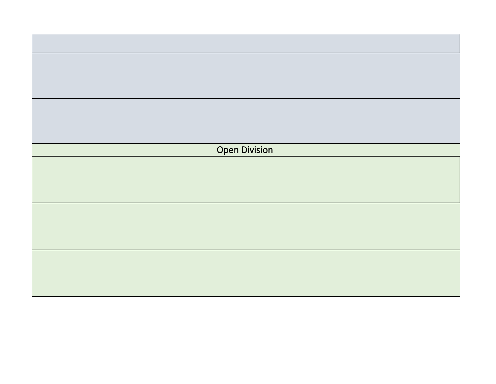| <b>Open Division</b> |
|----------------------|
|                      |
|                      |
|                      |
|                      |
|                      |
|                      |
|                      |
|                      |
|                      |